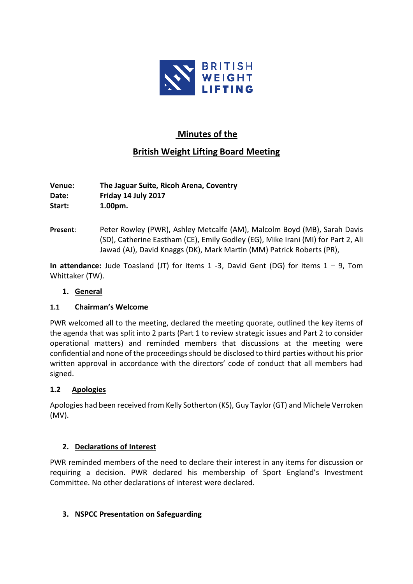

# **Minutes of the**

# **British Weight Lifting Board Meeting**

**Venue: The Jaguar Suite, Ricoh Arena, Coventry Date: Friday 14 July 2017 Start: 1.00pm.**

**Present**: Peter Rowley (PWR), Ashley Metcalfe (AM), Malcolm Boyd (MB), Sarah Davis (SD), Catherine Eastham (CE), Emily Godley (EG), Mike Irani (MI) for Part 2, Ali Jawad (AJ), David Knaggs (DK), Mark Martin (MM) Patrick Roberts (PR),

**In attendance:** Jude Toasland (JT) for items 1 -3, David Gent (DG) for items 1 – 9, Tom Whittaker (TW).

### **1. General**

#### **1.1 Chairman's Welcome**

PWR welcomed all to the meeting, declared the meeting quorate, outlined the key items of the agenda that was split into 2 parts (Part 1 to review strategic issues and Part 2 to consider operational matters) and reminded members that discussions at the meeting were confidential and none of the proceedings should be disclosed to third parties without his prior written approval in accordance with the directors' code of conduct that all members had signed.

# **1.2 Apologies**

Apologies had been received from Kelly Sotherton (KS), Guy Taylor (GT) and Michele Verroken (MV).

#### **2. Declarations of Interest**

PWR reminded members of the need to declare their interest in any items for discussion or requiring a decision. PWR declared his membership of Sport England's Investment Committee. No other declarations of interest were declared.

# **3. NSPCC Presentation on Safeguarding**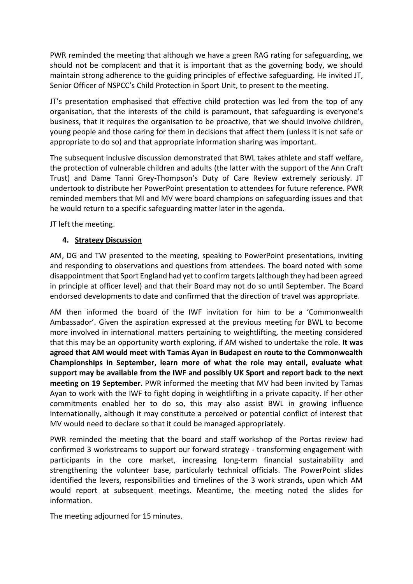PWR reminded the meeting that although we have a green RAG rating for safeguarding, we should not be complacent and that it is important that as the governing body, we should maintain strong adherence to the guiding principles of effective safeguarding. He invited JT, Senior Officer of NSPCC's Child Protection in Sport Unit, to present to the meeting.

JT's presentation emphasised that effective child protection was led from the top of any organisation, that the interests of the child is paramount, that safeguarding is everyone's business, that it requires the organisation to be proactive, that we should involve children, young people and those caring for them in decisions that affect them (unless it is not safe or appropriate to do so) and that appropriate information sharing was important.

The subsequent inclusive discussion demonstrated that BWL takes athlete and staff welfare, the protection of vulnerable children and adults (the latter with the support of the Ann Craft Trust) and Dame Tanni Grey-Thompson's Duty of Care Review extremely seriously. JT undertook to distribute her PowerPoint presentation to attendees for future reference. PWR reminded members that MI and MV were board champions on safeguarding issues and that he would return to a specific safeguarding matter later in the agenda.

JT left the meeting.

#### **4. Strategy Discussion**

AM, DG and TW presented to the meeting, speaking to PowerPoint presentations, inviting and responding to observations and questions from attendees. The board noted with some disappointment that Sport England had yet to confirm targets (although they had been agreed in principle at officer level) and that their Board may not do so until September. The Board endorsed developments to date and confirmed that the direction of travel was appropriate.

AM then informed the board of the IWF invitation for him to be a 'Commonwealth Ambassador'. Given the aspiration expressed at the previous meeting for BWL to become more involved in international matters pertaining to weightlifting, the meeting considered that this may be an opportunity worth exploring, if AM wished to undertake the role. **It was agreed that AM would meet with Tamas Ayan in Budapest en route to the Commonwealth Championships in September, learn more of what the role may entail, evaluate what support may be available from the IWF and possibly UK Sport and report back to the next meeting on 19 September.** PWR informed the meeting that MV had been invited by Tamas Ayan to work with the IWF to fight doping in weightlifting in a private capacity. If her other commitments enabled her to do so, this may also assist BWL in growing influence internationally, although it may constitute a perceived or potential conflict of interest that MV would need to declare so that it could be managed appropriately.

PWR reminded the meeting that the board and staff workshop of the Portas review had confirmed 3 workstreams to support our forward strategy - transforming engagement with participants in the core market, increasing long-term financial sustainability and strengthening the volunteer base, particularly technical officials. The PowerPoint slides identified the levers, responsibilities and timelines of the 3 work strands, upon which AM would report at subsequent meetings. Meantime, the meeting noted the slides for information.

The meeting adjourned for 15 minutes.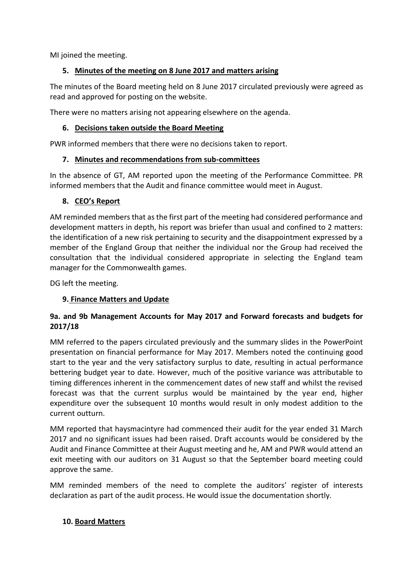MI joined the meeting.

# **5. Minutes of the meeting on 8 June 2017 and matters arising**

The minutes of the Board meeting held on 8 June 2017 circulated previously were agreed as read and approved for posting on the website.

There were no matters arising not appearing elsewhere on the agenda.

## **6. Decisions taken outside the Board Meeting**

PWR informed members that there were no decisions taken to report.

### **7. Minutes and recommendations from sub-committees**

In the absence of GT, AM reported upon the meeting of the Performance Committee. PR informed members that the Audit and finance committee would meet in August.

### **8. CEO's Report**

AM reminded members that as the first part of the meeting had considered performance and development matters in depth, his report was briefer than usual and confined to 2 matters: the identification of a new risk pertaining to security and the disappointment expressed by a member of the England Group that neither the individual nor the Group had received the consultation that the individual considered appropriate in selecting the England team manager for the Commonwealth games.

DG left the meeting.

# **9. Finance Matters and Update**

# **9a. and 9b Management Accounts for May 2017 and Forward forecasts and budgets for 2017/18**

MM referred to the papers circulated previously and the summary slides in the PowerPoint presentation on financial performance for May 2017. Members noted the continuing good start to the year and the very satisfactory surplus to date, resulting in actual performance bettering budget year to date. However, much of the positive variance was attributable to timing differences inherent in the commencement dates of new staff and whilst the revised forecast was that the current surplus would be maintained by the year end, higher expenditure over the subsequent 10 months would result in only modest addition to the current outturn.

MM reported that haysmacintyre had commenced their audit for the year ended 31 March 2017 and no significant issues had been raised. Draft accounts would be considered by the Audit and Finance Committee at their August meeting and he, AM and PWR would attend an exit meeting with our auditors on 31 August so that the September board meeting could approve the same.

MM reminded members of the need to complete the auditors' register of interests declaration as part of the audit process. He would issue the documentation shortly.

# **10. Board Matters**